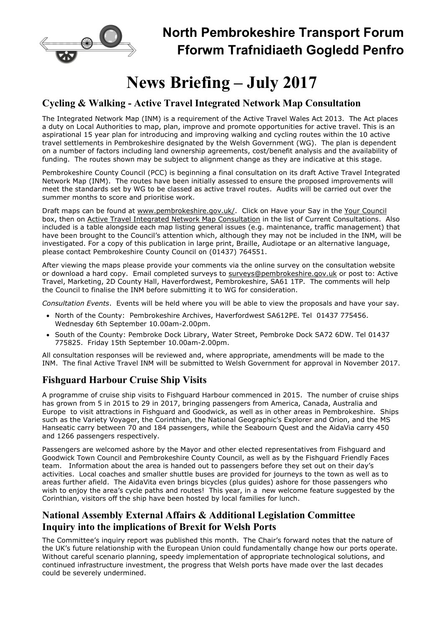

## North Pembrokeshire Transport Forum Fforwm Trafnidiaeth Gogledd Penfro

# News Briefing – July 2017

### Cycling & Walking - Active Travel Integrated Network Map Consultation

The Integrated Network Map (INM) is a requirement of the Active Travel Wales Act 2013. The Act places a duty on Local Authorities to map, plan, improve and promote opportunities for active travel. This is an aspirational 15 year plan for introducing and improving walking and cycling routes within the 10 active travel settlements in Pembrokeshire designated by the Welsh Government (WG). The plan is dependent on a number of factors including land ownership agreements, cost/benefit analysis and the availability of funding. The routes shown may be subject to alignment change as they are indicative at this stage.

Pembrokeshire County Council (PCC) is beginning a final consultation on its draft Active Travel Integrated Network Map (INM). The routes have been initially assessed to ensure the proposed improvements will meet the standards set by WG to be classed as active travel routes. Audits will be carried out over the summer months to score and prioritise work.

Draft maps can be found at www.pembrokeshire.gov.uk/. Click on Have your Say in the Your Council box, then on Active Travel Integrated Network Map Consultation in the list of Current Consultations. Also included is a table alongside each map listing general issues (e.g. maintenance, traffic management) that have been brought to the Council's attention which, although they may not be included in the INM, will be investigated. For a copy of this publication in large print, Braille, Audiotape or an alternative language, please contact Pembrokeshire County Council on (01437) 764551.

After viewing the maps please provide your comments via the online survey on the consultation website or download a hard copy. Email completed surveys to surveys@pembrokeshire.gov.uk or post to: Active Travel, Marketing, 2D County Hall, Haverfordwest, Pembrokeshire, SA61 1TP. The comments will help the Council to finalise the INM before submitting it to WG for consideration.

Consultation Events. Events will be held where you will be able to view the proposals and have your say.

- North of the County: Pembrokeshire Archives, Haverfordwest SA612PE. Tel 01437 775456. Wednesday 6th September 10.00am-2.00pm.
- South of the County: Pembroke Dock Library, Water Street, Pembroke Dock SA72 6DW. Tel 01437 775825. Friday 15th September 10.00am-2.00pm.

All consultation responses will be reviewed and, where appropriate, amendments will be made to the INM. The final Active Travel INM will be submitted to Welsh Government for approval in November 2017.

## Fishguard Harbour Cruise Ship Visits

A programme of cruise ship visits to Fishguard Harbour commenced in 2015. The number of cruise ships has grown from 5 in 2015 to 29 in 2017, bringing passengers from America, Canada, Australia and Europe to visit attractions in Fishguard and Goodwick, as well as in other areas in Pembrokeshire. Ships such as the Variety Voyager, the Corinthian, the National Geographic's Explorer and Orion, and the MS Hanseatic carry between 70 and 184 passengers, while the Seabourn Quest and the AidaVia carry 450 and 1266 passengers respectively.

Passengers are welcomed ashore by the Mayor and other elected representatives from Fishguard and Goodwick Town Council and Pembrokeshire County Council, as well as by the Fishguard Friendly Faces team. Information about the area is handed out to passengers before they set out on their day's activities. Local coaches and smaller shuttle buses are provided for journeys to the town as well as to areas further afield. The AidaVita even brings bicycles (plus guides) ashore for those passengers who wish to enjoy the area's cycle paths and routes! This year, in a new welcome feature suggested by the Corinthian, visitors off the ship have been hosted by local families for lunch.

## National Assembly External Affairs & Additional Legislation Committee Inquiry into the implications of Brexit for Welsh Ports

The Committee's inquiry report was published this month. The Chair's forward notes that the nature of the UK's future relationship with the European Union could fundamentally change how our ports operate. Without careful scenario planning, speedy implementation of appropriate technological solutions, and continued infrastructure investment, the progress that Welsh ports have made over the last decades could be severely undermined.